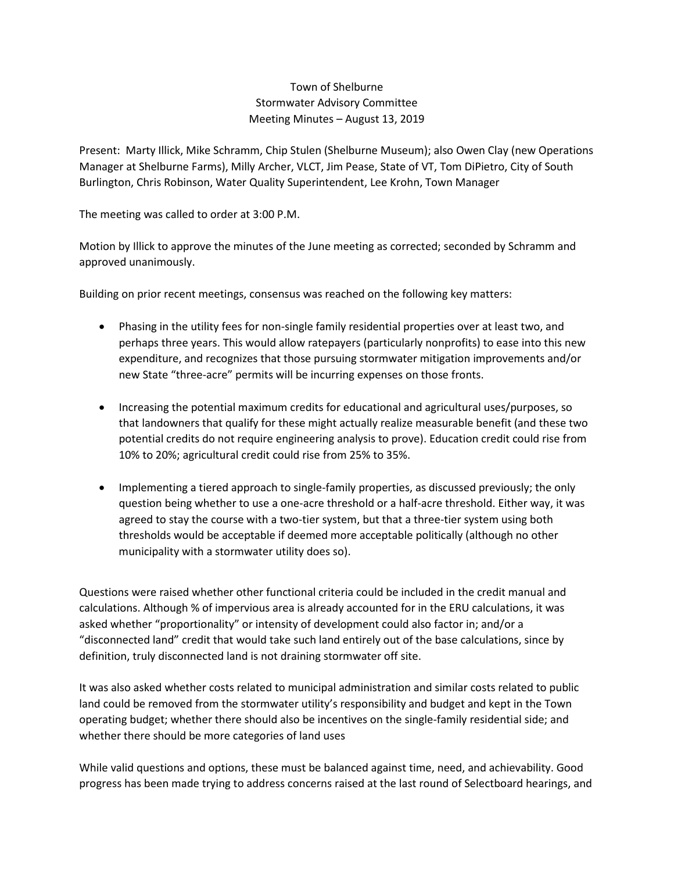## Town of Shelburne Stormwater Advisory Committee Meeting Minutes – August 13, 2019

Present: Marty Illick, Mike Schramm, Chip Stulen (Shelburne Museum); also Owen Clay (new Operations Manager at Shelburne Farms), Milly Archer, VLCT, Jim Pease, State of VT, Tom DiPietro, City of South Burlington, Chris Robinson, Water Quality Superintendent, Lee Krohn, Town Manager

The meeting was called to order at 3:00 P.M.

Motion by Illick to approve the minutes of the June meeting as corrected; seconded by Schramm and approved unanimously.

Building on prior recent meetings, consensus was reached on the following key matters:

- Phasing in the utility fees for non-single family residential properties over at least two, and perhaps three years. This would allow ratepayers (particularly nonprofits) to ease into this new expenditure, and recognizes that those pursuing stormwater mitigation improvements and/or new State "three-acre" permits will be incurring expenses on those fronts.
- Increasing the potential maximum credits for educational and agricultural uses/purposes, so that landowners that qualify for these might actually realize measurable benefit (and these two potential credits do not require engineering analysis to prove). Education credit could rise from 10% to 20%; agricultural credit could rise from 25% to 35%.
- Implementing a tiered approach to single-family properties, as discussed previously; the only question being whether to use a one-acre threshold or a half-acre threshold. Either way, it was agreed to stay the course with a two-tier system, but that a three-tier system using both thresholds would be acceptable if deemed more acceptable politically (although no other municipality with a stormwater utility does so).

Questions were raised whether other functional criteria could be included in the credit manual and calculations. Although % of impervious area is already accounted for in the ERU calculations, it was asked whether "proportionality" or intensity of development could also factor in; and/or a "disconnected land" credit that would take such land entirely out of the base calculations, since by definition, truly disconnected land is not draining stormwater off site.

It was also asked whether costs related to municipal administration and similar costs related to public land could be removed from the stormwater utility's responsibility and budget and kept in the Town operating budget; whether there should also be incentives on the single-family residential side; and whether there should be more categories of land uses

While valid questions and options, these must be balanced against time, need, and achievability. Good progress has been made trying to address concerns raised at the last round of Selectboard hearings, and